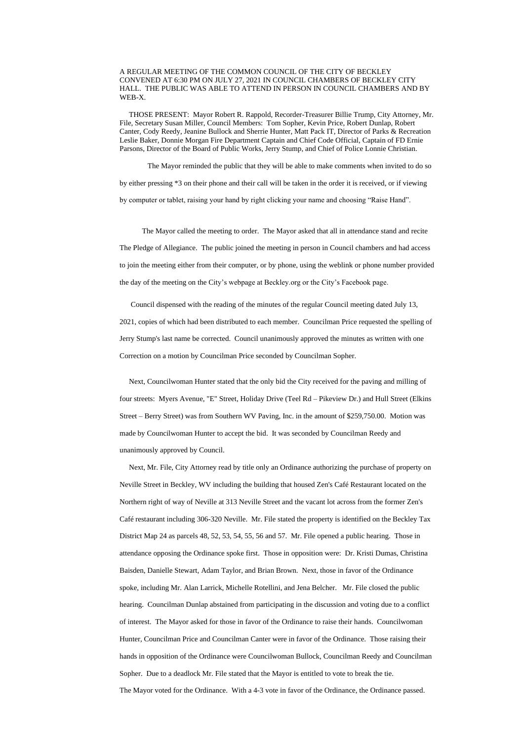A REGULAR MEETING OF THE COMMON COUNCIL OF THE CITY OF BECKLEY CONVENED AT 6:30 PM ON JULY 27, 2021 IN COUNCIL CHAMBERS OF BECKLEY CITY HALL. THE PUBLIC WAS ABLE TO ATTEND IN PERSON IN COUNCIL CHAMBERS AND BY WEB-X.

 THOSE PRESENT: Mayor Robert R. Rappold, Recorder-Treasurer Billie Trump, City Attorney, Mr. File, Secretary Susan Miller, Council Members: Tom Sopher, Kevin Price, Robert Dunlap, Robert Canter, Cody Reedy, Jeanine Bullock and Sherrie Hunter, Matt Pack IT, Director of Parks & Recreation Leslie Baker, Donnie Morgan Fire Department Captain and Chief Code Official, Captain of FD Ernie Parsons, Director of the Board of Public Works, Jerry Stump, and Chief of Police Lonnie Christian.

 The Mayor reminded the public that they will be able to make comments when invited to do so by either pressing \*3 on their phone and their call will be taken in the order it is received, or if viewing by computer or tablet, raising your hand by right clicking your name and choosing "Raise Hand".

The Mayor called the meeting to order. The Mayor asked that all in attendance stand and recite The Pledge of Allegiance. The public joined the meeting in person in Council chambers and had access to join the meeting either from their computer, or by phone, using the weblink or phone number provided the day of the meeting on the City's webpage at Beckley.org or the City's Facebook page.

 Council dispensed with the reading of the minutes of the regular Council meeting dated July 13, 2021, copies of which had been distributed to each member. Councilman Price requested the spelling of Jerry Stump's last name be corrected. Council unanimously approved the minutes as written with one Correction on a motion by Councilman Price seconded by Councilman Sopher.

 Next, Councilwoman Hunter stated that the only bid the City received for the paving and milling of four streets: Myers Avenue, "E" Street, Holiday Drive (Teel Rd – Pikeview Dr.) and Hull Street (Elkins Street – Berry Street) was from Southern WV Paving, Inc. in the amount of \$259,750.00. Motion was made by Councilwoman Hunter to accept the bid. It was seconded by Councilman Reedy and unanimously approved by Council.

 Next, Mr. File, City Attorney read by title only an Ordinance authorizing the purchase of property on Neville Street in Beckley, WV including the building that housed Zen's Café Restaurant located on the Northern right of way of Neville at 313 Neville Street and the vacant lot across from the former Zen's Café restaurant including 306-320 Neville. Mr. File stated the property is identified on the Beckley Tax District Map 24 as parcels 48, 52, 53, 54, 55, 56 and 57. Mr. File opened a public hearing. Those in attendance opposing the Ordinance spoke first. Those in opposition were: Dr. Kristi Dumas, Christina

Baisden, Danielle Stewart, Adam Taylor, and Brian Brown. Next, those in favor of the Ordinance

spoke, including Mr. Alan Larrick, Michelle Rotellini, and Jena Belcher. Mr. File closed the public

hearing. Councilman Dunlap abstained from participating in the discussion and voting due to a conflict

of interest. The Mayor asked for those in favor of the Ordinance to raise their hands. Councilwoman

Hunter, Councilman Price and Councilman Canter were in favor of the Ordinance. Those raising their

hands in opposition of the Ordinance were Councilwoman Bullock, Councilman Reedy and Councilman

Sopher. Due to a deadlock Mr. File stated that the Mayor is entitled to vote to break the tie.

The Mayor voted for the Ordinance. With a 4-3 vote in favor of the Ordinance, the Ordinance passed.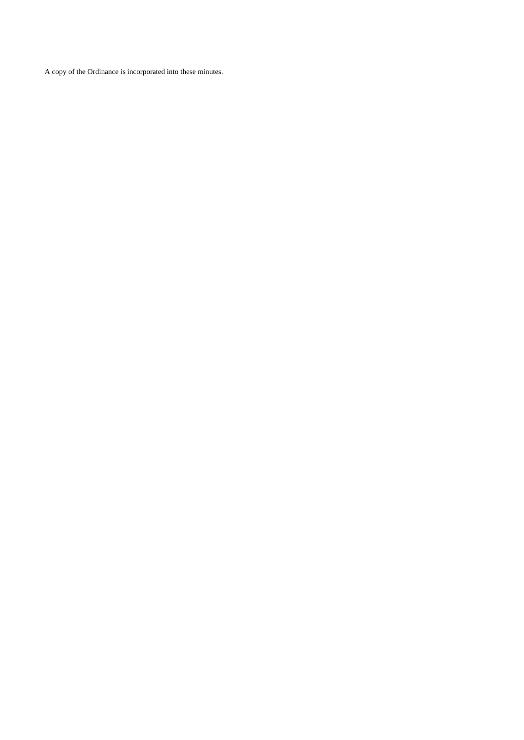A copy of the Ordinance is incorporated into these minutes.